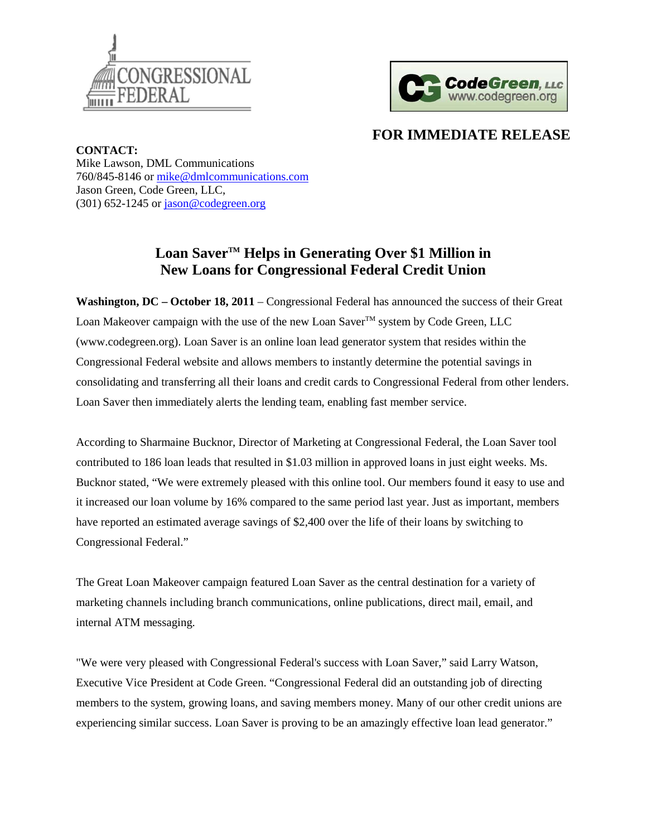



## **FOR IMMEDIATE RELEASE**

**CONTACT:** Mike Lawson, DML Communications 760/845-8146 or [mike@dmlcommunications.com](mailto:mike@dmlcommunications.com) Jason Green, Code Green, LLC,  $(301)$  652-1245 or [jason@codegreen.org](mailto:jason@codegreen.org)

## **Loan SaverTM Helps in Generating Over \$1 Million in New Loans for Congressional Federal Credit Union**

**Washington, DC – October 18, 2011** – Congressional Federal has announced the success of their Great Loan Makeover campaign with the use of the new Loan Saver<sup>TM</sup> system by Code Green, LLC (www.codegreen.org). Loan Saver is an online loan lead generator system that resides within the Congressional Federal website and allows members to instantly determine the potential savings in consolidating and transferring all their loans and credit cards to Congressional Federal from other lenders. Loan Saver then immediately alerts the lending team, enabling fast member service.

According to Sharmaine Bucknor, Director of Marketing at Congressional Federal, the Loan Saver tool contributed to 186 loan leads that resulted in \$1.03 million in approved loans in just eight weeks. Ms. Bucknor stated, "We were extremely pleased with this online tool. Our members found it easy to use and it increased our loan volume by 16% compared to the same period last year. Just as important, members have reported an estimated average savings of \$2,400 over the life of their loans by switching to Congressional Federal."

The Great Loan Makeover campaign featured Loan Saver as the central destination for a variety of marketing channels including branch communications, online publications, direct mail, email, and internal ATM messaging.

"We were very pleased with Congressional Federal's success with Loan Saver," said Larry Watson, Executive Vice President at Code Green. "Congressional Federal did an outstanding job of directing members to the system, growing loans, and saving members money. Many of our other credit unions are experiencing similar success. Loan Saver is proving to be an amazingly effective loan lead generator."